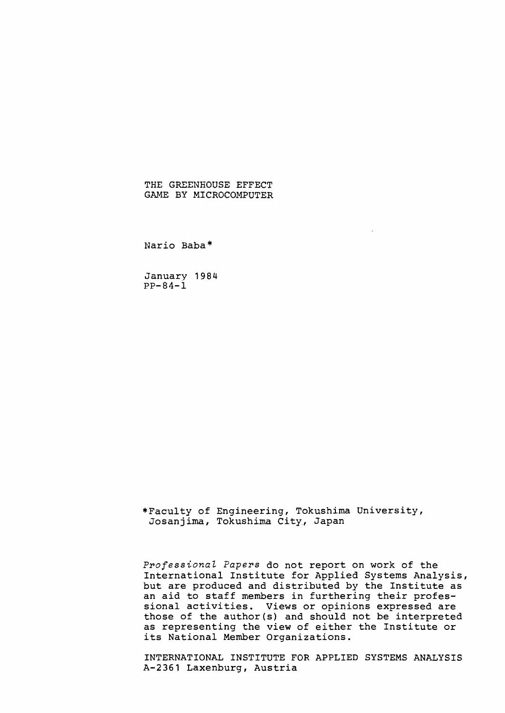# THE GREENHOUSE EFFECT GAME BY MICROCOMPUTER

Nario Baba\*

January 1984  $PP-84-1$ 

\*Faculty of Engineering, Tokushima University, Josanjima, Tokushima City, Japan

*Professionat Papers* do not report on work of the International Institute for Applied Systems Analysis, but are produced and distributed by the Institute as an aid to staff members in furthering their professional activities. Views or opinions expressed are those of the author(s) and should not be interpreted as representing the view of either the Institute or its National Member Organizations.

INTERNATIONAL INSTITUTE FOR APPLIED SYSTEMS ANALYSIS A-2361 Laxenburg, Austria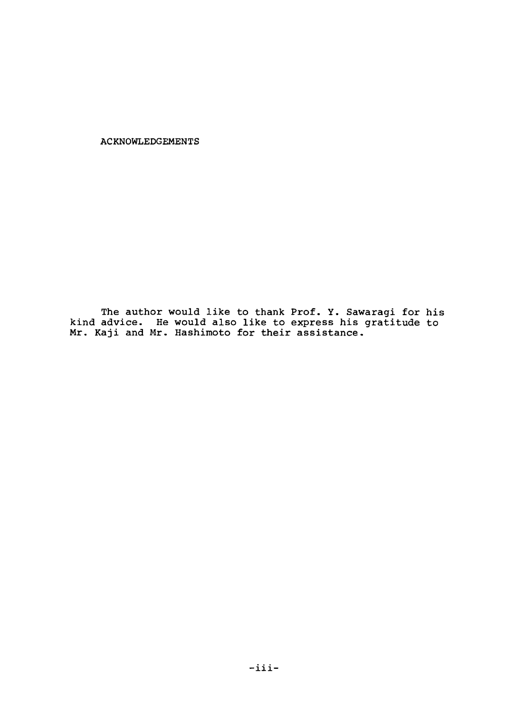ACKNOWLEDGEMENTS

The author would like to thank Prof. Y. Sawaragi for his kind advice. He would also like to express his gratitude to Mr. Kaji and Mr. Hashimoto for their assistance.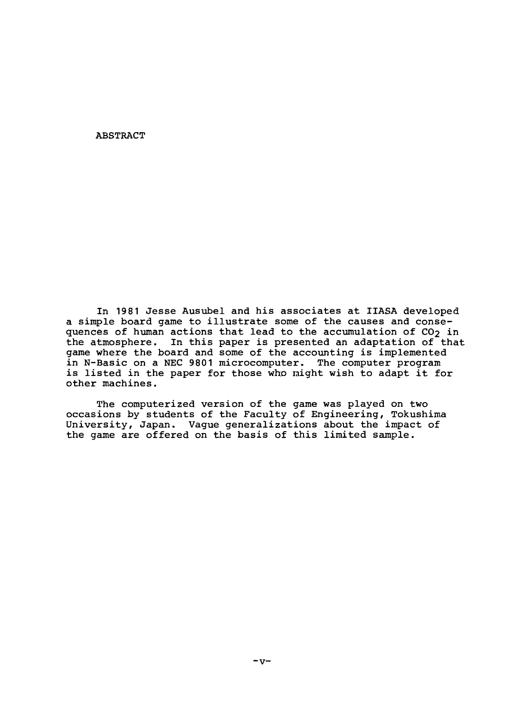# ABSTRACT

In <sup>1981</sup> Jesse Ausubel and his associates at IIASA developed <sup>a</sup> simple board game to illustrate some of the causes and consequences of human actions that lead to the accumulation of  $CO<sub>2</sub>$  in the atmosphere. In this paper is presented an adaptation of that game where the board and some of the accounting is implemented in N-Basic on a NEC 9801 microcomputer. The computer program is listed in the paper for those who might wish to adapt it for other machines.

The computerized version of the game was played on two occasions by students of the Faculty of Engineering, Tokushima University, Japan. Vague generalizations about the impact of the game are offered on the basis of this limited sample.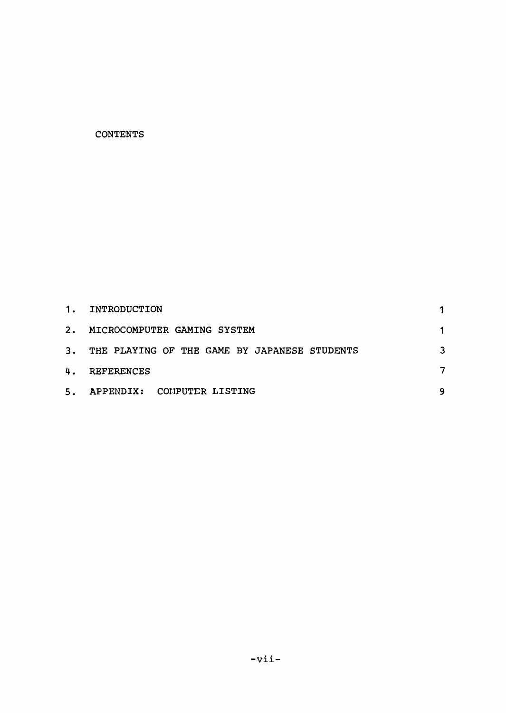# **CONTENTS**

|    | 1. INTRODUCTION                              |  |
|----|----------------------------------------------|--|
|    | 2. MICROCOMPUTER GAMING SYSTEM               |  |
| 3. | THE PLAYING OF THE GAME BY JAPANESE STUDENTS |  |
|    | 4. REFERENCES                                |  |
|    | 5. APPENDIX: COMPUTER LISTING                |  |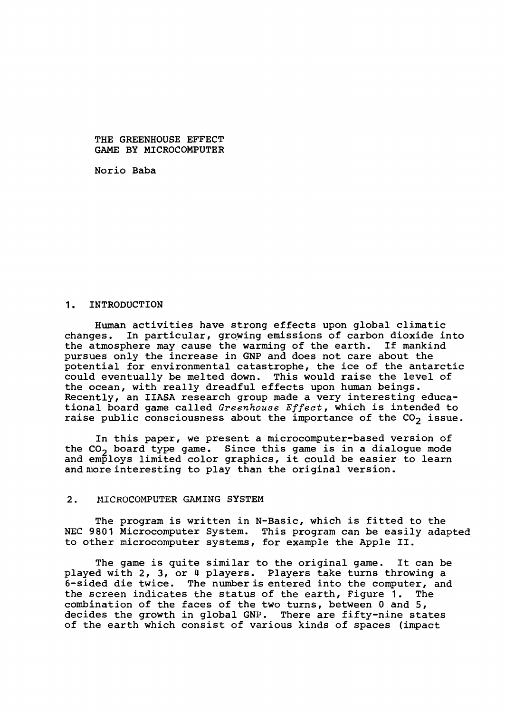THE GREENHOUSE EFFECT GAME BY MICROCOMPUTER

Norio Baba

#### 1. INTRODUCTION

Human activities have strong effects upon global climatic<br>changes. In particular, growing emissions of carbon dioxide in In particular, growing emissions of carbon dioxide into the atmosphere may cause the warming of the earth. If mankind pursues only the increase *in* GNP and does not care about the potential for environmental catastrophe, the *ice* of the antarctic could eventually be melted down. This would raise the level of the ocean, with really dreadful effects upon human beings. Recently, an IIASA research group made <sup>a</sup> very interesting educational board game called *Greenhouse Effect,* which *is* intended to raise public consciousness about the importance of the CO<sub>2</sub> issue.

In this paper, we present <sup>a</sup> microcomputer-based version of the CO2 board type game. *Since* this game *is in* <sup>a</sup> dialogue mode and employs limited color graphics, it could be easier to learn and more interesting to play than the original version.

## 2. MICROCOMPUTER GAMING SYSTEM

The program *is* written *in* N-Basic, which *is* fitted to the NEC 9801 Microcomputer System. This program can be easily adapted to other microcomputer systems, for example the Apple II.

The game is quite similar to the original game. It can be played with 2, 3, or 4 players. Players take turns throwing a 6-sided die twice. The number is entered into the computer, and the screen indicates the status of the earth, Figure 1. The combination of the faces of the two turns, between 0 and 5, decides the growth in global GNP. There are fifty-nine states of the earth which consist of various kinds of spaces (impact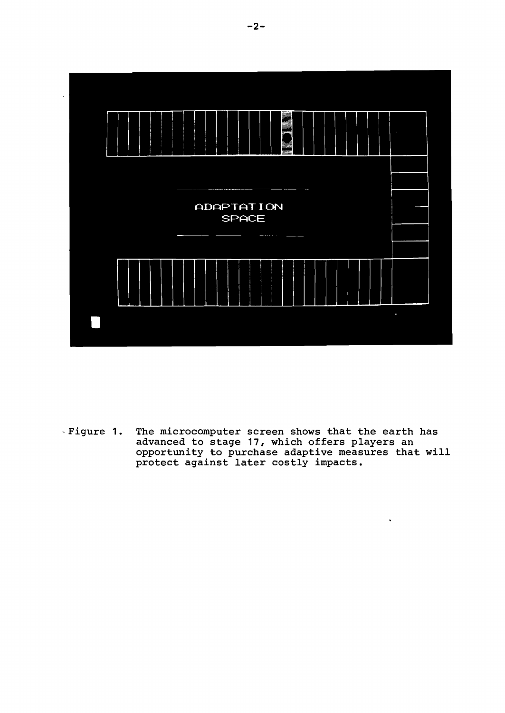

The microcomputer screen shows that the earth has<br>advanced to stage 17, which offers players an<br>opportunity to purchase adaptive measures that will<br>protect against later costly impacts. - Figure 1.

 $\ddot{\phantom{a}}$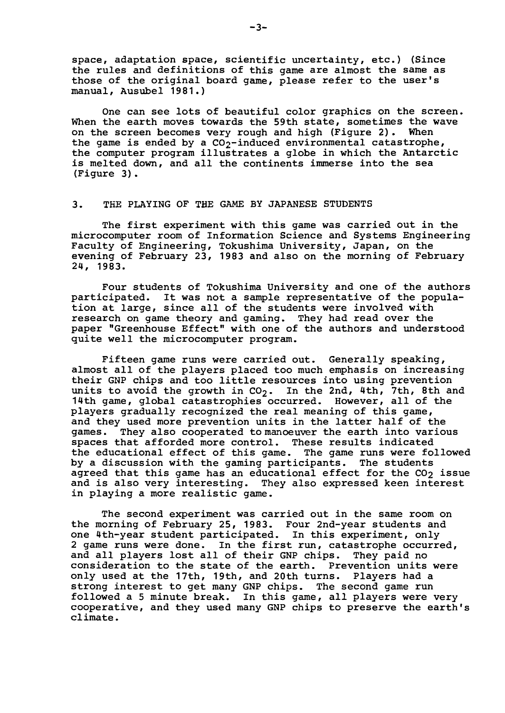space, adaptation space, scientific uncertainty, etc.) (Since the rules and definitions of this game are almost the same as those of the original board game, please refer to the user's manual, Ausubel 1981.)

One can see lots of beautiful color graphics on the screen. When the earth moves towards the 59th state, sometimes the wave on the screen becomes very rough and high (Figure 2). When the game is ended by a  $CO_2$ -induced environmental catastrophe, the computer program illustrates <sup>a</sup> globe in which the Antarctic is melted down, and all the continents immerse into the sea (Figure 3).

## 3. THE PLAYING OF THE GAME BY JAPANESE STUDENTS

The first experiment with this game was carried out in the microcomputer room of Information Science and Systems Engineering Faculty of Engineering, Tokushima University, Japan, on the evening of February 23, 1983 and also on the morning of February 24, 1983.

Four students of Tokushima University and one of the authors participated. It was not <sup>a</sup> sample representative of the population at large, since all of the students were involved with research on game theory and gaming. They had read over the paper "Greenhouse Effect" with one of the authors and understood quite well the microcomputer program.

Fifteen game runs were carried out. Generally speaking, almost all of the players placed too much emphasis on increasing their GNP chips and too little resources into using prevention units to avoid the growth in  $CO<sub>2</sub>$ . In the 2nd, 4th, 7th, 8th and 14th game, global catastrophies occurred. However, all of the players gradually recognized the real meaning of this game, and they used more prevention units in the latter half of the games. They also cooperated to manoeuver the earth into various They also cooperated to manoeuver the earth into various spaces that afforded more control. These results indicated the educational effect of this game. The game runs were followed by a discussion with the gaming participants. The students agreed that this game has an educational effect for the  $CO<sub>2</sub>$  issue and is also very interesting. They also expressed keen interest in playing <sup>a</sup> more realistic game.

The second experiment was carried out in the same room on the morning of February 25, 1983. Four 2nd-year students and one 4th-year student participated. In this experiment, only <sup>2</sup> game runs were done. In the first run, catastrophe occurred, and all players lost all of their GNP chips. They paid no consideration to the state of the earth. Prevention units were only used at the 17th, 19th, and 20th turns. Players had <sup>a</sup> strong interest to get many GNP chips. The second game run followed a 5 minute break. In this game, all players were very cooperative, and they used many GNP chips to preserve the earth's climate.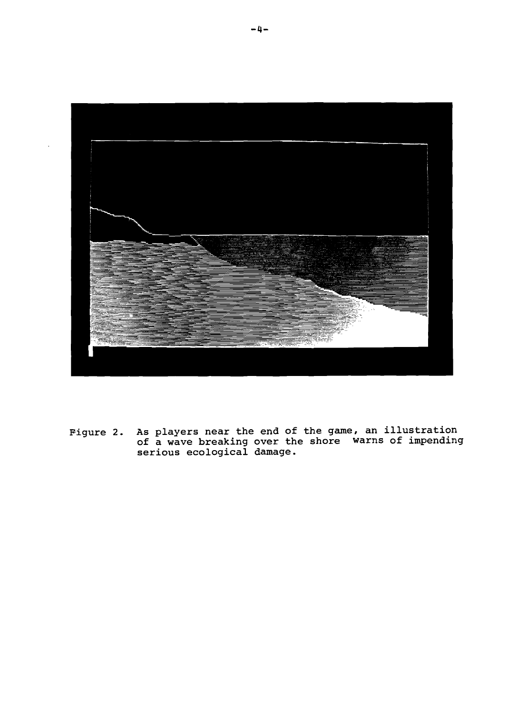

Figure 2. As players near the end of the game, an illustration of a wave breaking over the shore warns of impending serious ecological damage.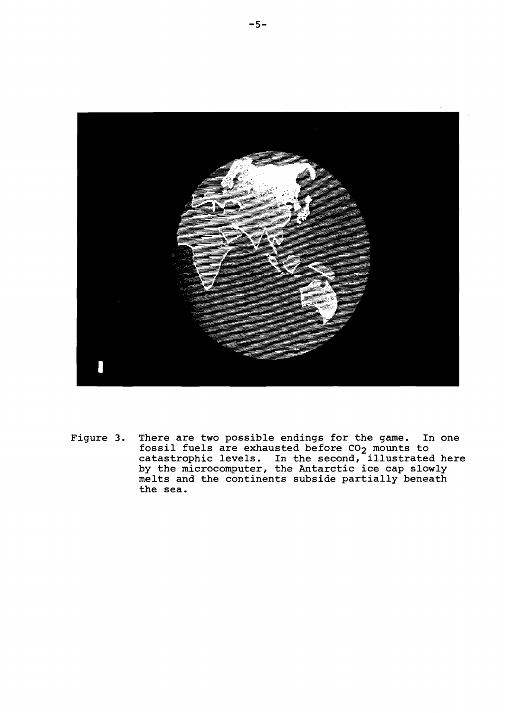

Figure 3. There are two possible endings for the game. In one fossil fuels are exhausted before CO<sub>2</sub> mounts to catastrophic levels. In the second, illustrated here by the microcomputer, the Antarctic ice cap slowly melts and the continents subside partially beneath the sea.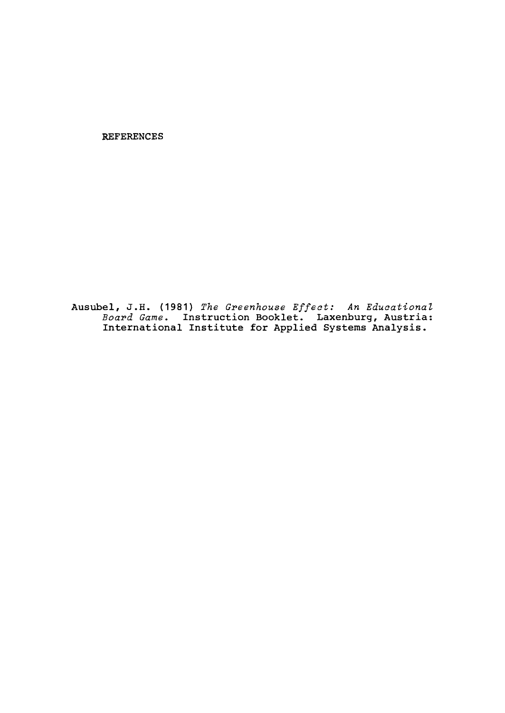**REFERENCES**

**Ausubel, J.H. (1981)** *The Gpeenhouse Effect: An Educational Boapd Game.* **Instruction Booklet. Laxenburg, Austria: International Institute for Applied Systems Analysis.**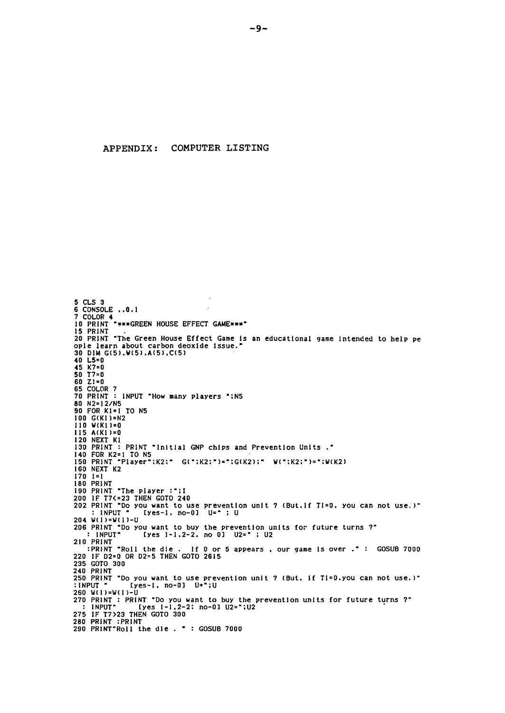```
5 CLS36 CONSOLE ..0.1
7 COLOR 4
15 PRINT<br>20 PRINT "The Green House Effect Game is an educational game intended to help pe<br>ople learn about carbon deoxide issue."<br>30 DIM G(5),W(5),A(5),C(5)<br>40 L5=0<br>45 K7=0<br>50 71=0
              "***GREEN HOUSE EFFECT GAME***"
60 21 = 0<br>65 COLOR 7
70 PRINT : INPUT "How many players ":N5
80 N2=12/N5
90 FOR K1=1 TO N5
100 G(K1)=N2
110 W(K1)=0115 A(K1)=0120 NEXT KI
130 PRINT : PRINT "Initial GNP chips and Prevention Units."<br>140 FOR K2=1 TO N5
150 PRINT "Player":K2:" G(":K2:")=":G(K2):" W(":K2:")=":W(K2)
160 NEXT K2
170 1=1<br>180 PRINT
180 PRINT "The player :"; I<br>200 IF T7<=23 THEN GOTO 240<br>202 PRINT "Do you want to use prevention unit ? (But. If TI=0, you can not use.)"<br>: INPUT " [yes-1, no-0] U=" ; U
. 1 \times 1 \times 1 = 1<br>
204 W(1)=W(1)-U<br>
206 PRINT "Do you want to buy the prevention units for future turns ?"<br>
.: INPUT" [yes 1-1.2-2, no 0] U2=" : U?
210 PRINT
:PRINT "Roll the die . If 0 or<br>220 IF D2=0 OR D2=5 THEN GOTO 2615
                                        If 0 or 5 appears, our game is over.": GOSUB 7000
235 GOTO 300
240 PRINT
250 PRINT "Do you want to use prevention unit ? (But. if TI=0.you can not use.)"<br>:INPUT "[yes-1. no-0] U=";U
260 W(1)=W(1)-U
270 PRINT : PRINT "Do you want to buy the prevention units for future turns ?"<br>: INPUT" [yes I-1,2-2: no-0] U2=";U2
275 IF T7>23 THEN GOTO 300
290 PRINT"Roll the die . " : GOSUB 7000
```
APPENDIX: COMPUTER LISTING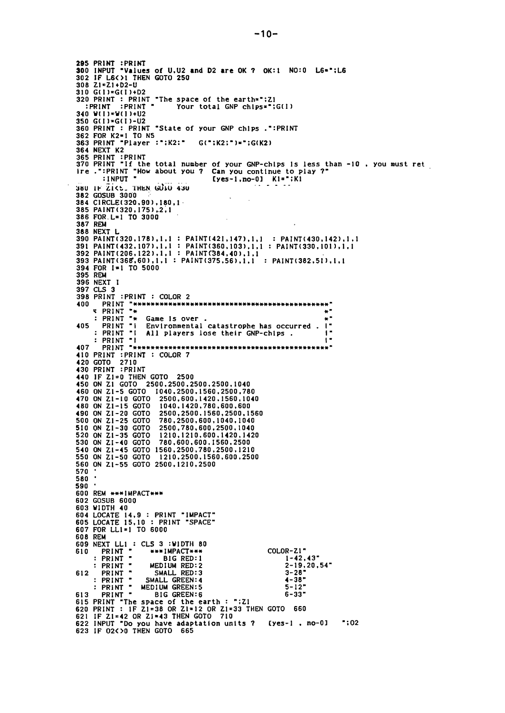295 PRINT :PRINT<br>300 INPUT "Values of U.U2 and D2 are OK ? OK:1 NO:0 L6=";L6<br>302 IF L6<>1 THEN GOTO 250  $308$  Z<sub>1</sub>=Z<sub>1</sub>+D<sub>2</sub>-U 310 G(I)=G(I)+D2 320 PRINT : PRINT "The space of the earth=": Z1<br>:PRINT : PRINT "Your total GNP chines"" Your total GNP chips=";G(I) 340  $W(1) = W(1) + U2$ 350 G(I)=G(I)-U2 360 PRINT: PRINT "State of your GNP chips.":PRINT 362 FOR K2=1 TO N5 363 PRINT "Player :":K2:" G(":K2:")=";G(K2) 364 NEXT K2 364 NEXI KZ<br>365 PRINT :PRINT<br>370 PRINT "If the total number of your GNP-chips is less than -10, you must ret<br>1re.":PRINT "How about you ? Can you continue to play ?"<br>1990 : INPUT "[yes-1,no-0] K1=";K1 382 GOSUB 3000 384 CIRCLE(320,90),180,1 385 PAINT (320, 175), 2.1 386 FOR. L=1 TO 3000 387 REM 388 NEXT L 388 WEAT<br>
391 PAINT(320,178),1,1 : PAINT(421,147),1,1 : PAINT(430,142),1,1<br>
391 PAINT(432,107),1,1 : PAINT(360,103),1,1 : PAINT(330,101),1,1<br>
392 PAINT(206,122),1,1 : PAINT(384,40),1,1<br>
393 PAINT(368,60),1,1 : PAINT(375,56 394 FOR I=1 TO 5000 395 REM 396 NEXT I 397 CLS 3 398 PRINT : PRINT : COLOR 2 407 410 PRINT : PRINT : COLOR 7<br>420 GOTO 2710<br>430 PRINT : PRINT 430 PRINT : PRINT<br>440 IF Z1=0 THEN GOTO 2500<br>450 ON Z1 GOTO 2500,2500,2500,2500,1040<br>460 ON Z1-5 GOTO 1040,2500,1560,2500,780<br>470 ON Z1-10 GOTO 2500,600,1420,1560,1040<br>480 ON Z1-15 GOTO 1040,1420,780,600,600<br>490 ON Z1-20 G 490 ON Z1-20 GOTO 2500,2500,1560,2500,15<br>500 ON Z1-25 GOTO 780,2500,600,1040,1040 2500, 2500, 1560, 2500, 1560 510 ON Z1-30 GOTO<br>520 ON Z1-35 GOTO 2500,780,600,2500,1040 \_\_\_\_\_,rou,ouu,2500.1040<br>1210,1210,600.1420.1420<br>780 500 500 ----530 ON 21-40 GOTO 780,600,600,1560,2500<br>540 ON 21-45 GOTO 1560,2500,780,2500,1210<br>550 ON 21-50 GOTO 1210,2500,780,2500,1210<br>560 ON 21-55 GOTO 2500,1210,2500 1210,2500,1560,600,2500 570  $\ddot{\phantom{a}}$ 580 590 · 600 REM \*\*\* IMPACT\*\*\* 602 GOSUB 6000 604 LOCATE 14.9 : PRINT "IMPACT"<br>605 LOCATE 15.10 : PRINT "SPACE" 607 FOR LL1=1 TO 6000 608 REM 009 NEXT LL1 : CLS 3 : WIDTH 80<br>
610 PRINT " \*\*\*IMPACT\*\*\*<br>
: PRINT " BIG RED:1<br>
: PRINT " MEDIUM RED:2<br>
612 PRINT " SMALL RED:3 COLOR-Z1"  $1 - 42, 43"$  $2 - 19, 20, 54"$ SMALL RED:3<br>
: PRINT " SMALL GREEN:4<br>
: PRINT " MEDIUM GREEN:5<br>
613 PRINT " BIG COPP"  $3 - 28$  $4 - 38$  $5 - 12"$  $6 - 33"$ 613 PRINT "The space of the earth : ":21<br>620 PRINT "The space of the earth : ":21<br>620 PRINT : IF Z1=38 OR Z1=12 OR Z1=33 THEN GOTO 660<br>621 IF Z1=42 OR Z1=43 THEN GOTO 710<br>622 INPUT "Do you have adaptation units ? [yes-1,  $"$ :02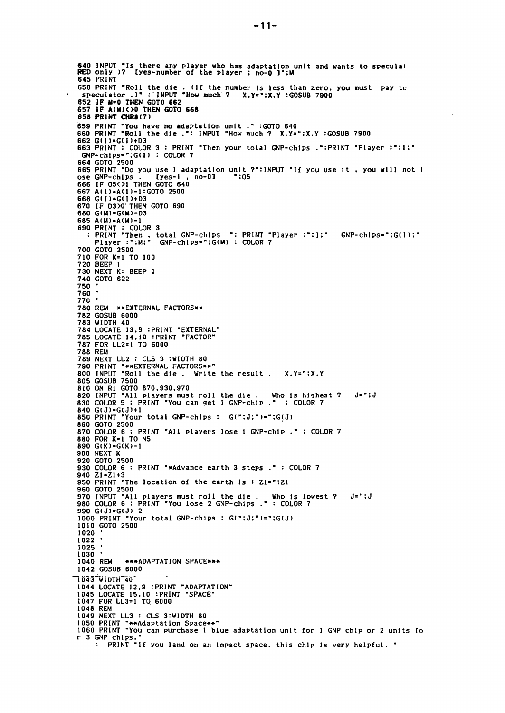640 INPUT "Is there any player who has adaptation unit and wants to speculal<br>RED only 17 Iyes-number of the player ; no-0 J";M<br>645 PRINT 650 PRINT "Roll the die. (If the number of PRINT "Roll the die. (If the number (if the number is less than zero, you must pay to<br>How much ? X, Y="; X, Y : GOSUB 7900 652 IF M=0 THEN GOTO 662 657 IF A(M)(>0 THEN GOTO 668 659 PRINT "You have no adaptation unit ." : GOTO 640<br>660 PRINT "Roll the die .": INPUT "How much ? X, Y=": X, Y : GOSUB 7900 662 G(I)=G(I)+D3 663 PRINT : COLOR 3 : PRINT "Then your total GNP-chips .":PRINT "Player :":l:"<br>GNP-chips=":G(I) : COLOR 7 GNP-CAIPS- WALLET CONNECT THE VOLUME 11 YOU USE 1 & YOU WILL NOT USE 1 & COTO 2500<br>665 PRINT "Do you use 1 adaptation unit ?":INPUT "If you use it , you will not 1 ose GNP-chips . [yes-1, no-0]<br>666 IF 05<>>>>1 THEN GOTO 640 667 A(I)=A(I)-1:GOTO 2500 668 G(I)=G(I)+D3 670 IF D300 THEN GOTO 690<br>680 G(M)=G(M)-D3 685  $A(M)=A(M)-1$ 690 PRINT : COLOR 3<br>
: PRINT "Then, total GNP-chips ": PRINT "Player :"; I;"<br>
Player :"; M;" GNP-chips="; G(M) : COLOR 7  $GNP-chips = "G(I)$ ;" 700 GOTO 2500 710 FOR K=1 TO 100 720 BEEP 1 730 NEXT K: BEEP 0 740 GOTO 622 750 760 770 780 REM \*\* EXTERNAL FACTORS\*\* 782 GOSUB 6000 783 WIDTH 40<br>784 LOCATE 13.9 : PRINT "EXTERNAL"<br>785 LOCATE 14.10 : PRINT "FACTOR" 787 FOR LL2=1 TO 6000 **788 REM** 789 NEXT LL2 : CLS 3 :WIDTH 80 790 PRINT "\*\*EXTERNAL FACTORS\*\*"<br>800 INPUT "\*\*EXTERNAL FACTORS\*\*"<br>800 INPUT "Roll the die. Write the result. X.Y=";X.Y 805 GOSUB 7500 805 GOSOB 7500<br>810 ON RI GOTO 870,930,970<br>820 INPUT "All players must roll the die . Who is highest ?<br>830 COLOR 5 : PRINT "You can get i GNP-chip ." : COLOR 7  $J = " ; J$ 840 G(J)=G(J)+1 "Your total GNP-chips : G(";J;")=";G(J) 850 PRINT 860 GOTO 2500 870 COLOR 6 : PRINT "All players lose i GNP-chip ." : COLOR 7 880 FOR K=1 TO N5 890  $G(K) = G(K) - 1$ **900 NEXT K** 920 GOTO 2500 930 COLOR 6 : PRINT "\*Advance earth 3 steps ." : COLOR 7 940 Z1=Z1+3<br>950 PRINT "The location of the earth  $1s : Z1 = 7:Z1$ 960 GOTO 2500 970 INPUT "All players must roll the die. Who is lowest ?<br>980 COLOR 6: PRINT "You lose 2 GNP-chips.": COLOR 7 J=";J 990 G(J)=G(J)-2<br>1000 PRINT "Your total GNP-chips : G(";J;")=";G(J) 1010 GOTO 2500 1020 1022 1025 1030 1040 REM \*\*\*ADAPTATION SPACE\*\*\* 1042 GOSUB 6000 "1043 WIDTH 40" 1044 LOCATE 12.9 : PRINT "ADAPTATION"<br>1045 LOCATE 15.10 : PRINT "SPACE" 1047 FOR LL3=1 TO 6000 1048 REM 1049 NEXT LL3 : CLS 3:WIDTH 80 1050 PRINT "\*\*Adaptation Space\*\*"<br>1060 PRINT "\*\*Adaptation Space\*\*"<br>1060 PRINT "You can purchase 1 blue adaptation unit for 1 GNP chip or 2 units fo r 3 GNP chips." : PRINT "If you land on an impact space, this chip is very helpful. "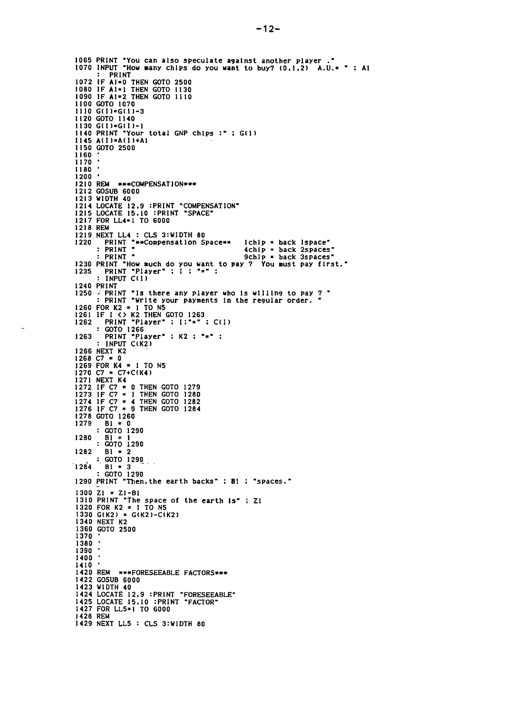```
1065 PRINT "You can also speculate against another player."<br>1070 INPUT "How many chips do you want to buy? (0,1,2) A.U.= " ; Al
             PRINT
1072 IF AI=0 THEN GOTO 2500<br>1080 IF AI=1 THEN GOTO 1130<br>1090 IF AI=2 THEN GOTO 1110<br>1100 GOTO 1070
1110 \text{ G}(1) = G(1) = 3I120 GOTO 1140
1130 G(I)=G(I)-1
1140 PRINT "Your total GNP chips :" ; G(1)
I145 A(I) = A(I) + AI1150 GOTO 2500
1160
1170
1180
1200 '1210 REM ***COMPENSATION***<br>1212 GOSUB 6000<br>1213 WIDTH 40
1214 LOCATE 12.9 : PRINT "COMPENSATION"<br>1215 LOCATE 15.10 : PRINT "SPACE"
1217 FOR LL4=1 TO 6000
1218 REM
1219 NEXT LL4 : CLS 3:WIDTH 80<br>1220 PRINT "**Compensation Space**<br>: PRINT "
                                                                          1chlp = back 1space"
                                                                          4chip = back 2spaces"
            PRINT "
                                                                          9ch1p * back 3spaces"1230 PRINT "How much do you want to pay ? You must pay first."<br>1235 PRINT "Player" ; I ; "=" ;<br>: INPUT C(I)
1240 PRINT
1250 / PRINT "Is there any player who is willing to pay ? "
1250 - PRINT "US there any Player who is writing to response : PRINT "Write your payments in the regular order.<br>1260 FOR K2 = 1 TO N5<br>1261 IF I <> K2 THEN GOTO 1263<br>1262 PRINT "Player" : I:"=" : C(I)
         : GOTO 1266<br>PRINT "Player" : K2 : "=" :<br>: INPUT C(K2)
1263
1266 NEXT K2
1268 NEXT N2<br>
1268 C7 = 0<br>
1269 FOR K4 = 1 TO N5<br>
1270 C7 = C7+C(K4)<br>
1271 NEXT K4<br>
1272 IF C7 = 1 THEN GOTO 1280<br>
1273 IF C7 = 1 THEN GOTO 1280
1274 IF C7 = 1 IREN GOTO 1280<br>1276 IF C7 = 9 THEN GOTO 1282
1278 GOTO 1260
1279
             Bi = 0: 601 - 01280
             B1
         : 600012901282
             B1 = 2: 60T0 12901284 B1 = 3<br>: GOTO 1290<br>1290 PRINT "Then, the earth backs" : B1 : "spaces."
1284
1300 \overline{z_1} = \overline{z_1 - B_1}<br>1310 PRINT "The space of the earth is" : \overline{z_1}<br>1320 POR K2 = 1 TO N5
1320 FUR R2 = 1 TO N5<br>1330 G(K2) = G(K2)-C(K2)<br>1340 NEXT K2<br>1360 GOTO 2500
 1370
 1380
 1390.
 1400
1410
1420 REM ***FORESEEABLE FACTORS***<br>1422 GOSUB 6000
1423 WIDTH 40<br>1423 WIDTH 40<br>1424 LOCATE 12,9 :PRINT "FORESEEABLE"<br>1425 LOCATE 15,10 :PRINT "FACTOR"<br>1427 FOR LL5=1 TO 6000
 1428 REM
1429 NEXT LL5 : CLS 3:WIDTH 80
```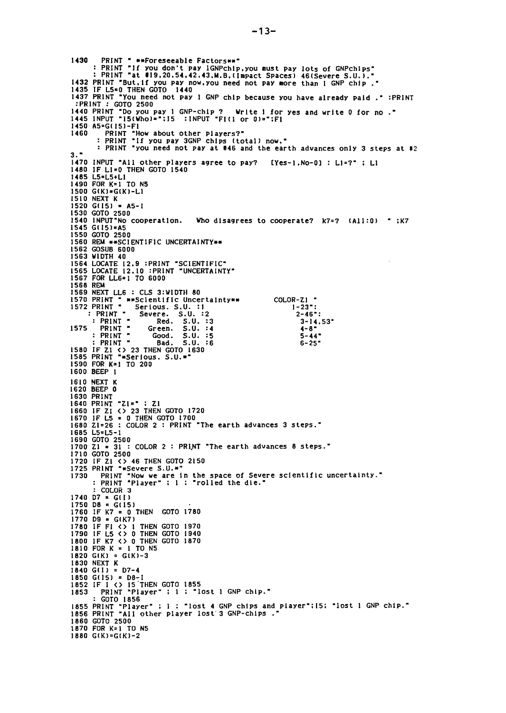PRINT " \*\*Foreseeable Factors\*\*" 1430 PRINT "If you don't pay IGNPchip, you must pay lots of GNPchips"<br>: PRINT "at #19,20,54,42,43,M.B.(Impact Spaces) 46(Severe S.U.)." 1432 PRINT "But, if you pay now, you need not pay more than I GNP chip."<br>1435 IF L5=0 THEN GOTO 1440<br>1437 PRINT "You need not pay 1 GNP chip because you have already paid." :PRINT : PRINT : GOTO 2500 1440 PRINT "Do you pay 1 GNP-chip ? Write 1 for<br>1445 INPUT "I5(Who)=":15 : INPUT "FI(1 or 0)=":F1 Write 1 for yes and write 0 for no." 1450 A5=G(15)-F1 PRINT "How about other players?"<br>: PRINT "If you pay 3GNP chips (total) now." 1460 : PRINT "you need not pay at #46 and the earth advances only 3 steps at #2  $3.7$ 1470 INPUT "All other players agree to pay? [Yes-1,No-0] : L1=?" ; L1<br>1480 IF L1=0 THEN GOTO 1540 1485 L5=L5+L1 1490 FOR K=1 TO N5 1500 G(K)=G(K)-L1 1510 NEXT K 1520 G(15) = A5-1<br>1530 GOTO 2500<br>1540 INPUT No cooperation. Who disagrees to cooperate?  $k7=?$  (All:0) "; $k7=$  $1545$  G(15)=A5 1550 GOTO 2500 1560 REM \*\* SCIENTIFIC UNCERTAINTY\*\* 1562 GOSUB 6000 1563 WIDTH 40 1564 LOCATE 12.9 :PRINT "SCIENTIFIC"<br>1565 LOCATE 12.10 :PRINT "UNCERTAINTY" 1567 FOR LL6=1 TO 6000 1568 REM 1569 NEXT LL6 : CLS 3:WIDTH 80 1570 PRINT " \*\*Sclentific Uncertainty\*\*<br>1572 PRINT " Serious. S.U. :1<br>: PRINT " Severe. S.U. :2 COLOR-ZI - $1 - 23$ ": Severe. S.U.:2<br>Red. S.U.:3<br>Green. S.U.:4<br>Green. S.U.:5<br>Bad. S.U.:5  $2 - 46$  : : PRINT "  $3 - 14.53$ <sup>\*</sup><br>4-8<sup>\*</sup> 1575 PRINT "  $: PRINT 5 - 44$  $P$   $P$  $P$  $I$  $N$  $T$   $T$ Bad.  $5.0.$  $\cdot$  6  $6 - 25$ 1580 IF Z1 <> 23 THEN GOTO 1630<br>1585 PRINT "\*Serious. 5.U.\*" 1590 FOR K=1 TO 200 1600 BEEP 1 1610 NEXT K<br>1620 BEEP 0 1630 PRINT<br>1640 PRINT "ZI=" : ZI 1640 FRINT 21=" . 21<br>1660 IF ZI <> 23 THEN GOTO 1720<br>1670 IF L5 = 0 THEN GOTO 1700<br>1680 ZI=26 : COLOR 2 : PRINT "The earth advances 3 steps." 1685 L5=L5-1 1690 GOTO 2500<br>1700 Z1 = 31 : COLOR 2 : PRINT "The earth advances 8 steps." 1710 GOTO 2500 1720 IF Z1 <> 46 THEN GOTO 2150<br>1725 PRINT "\*Severe S.U.\*" "THE "Now we are in the space of Severe scientific uncertainty."<br>: PRINT "Now we are in the space of Severe scientific uncertainty." 1730 COLOR<sub>3</sub> 1740 D7 =  $G(I)$  $1750$  D8 =  $G(15)$ 1760 IF  $K7 = 0$  THEN GOTO 1780 1770 DS = G(K7)<br>1780 IF F1 < > 1 THEN GOTO 1970<br>1790 IF L5 < > 0 THEN GOTO 1940<br>1800 IF K7 < > 0 THEN GOTO 1870<br>1810 FOR K = 1 TO N5  $1820$  G(K) = G(K)-3 1830 NEXT K  $1840$  G(I) = D7-4 1850 G(15) = D8-1<br>1852 IF I <> 15 THEN GOTO 1855<br>1853 PRINT "Player" ; 1 ; "lost 1 GNP chip." : GOTO 1856 1855 PRINT "Player" ; I ; "lost 4 GNP chips and player"; [5; "lost 1 GNP chip."<br>1856 PRINT "All other player lost'3 GNP-chips." 1860 GOTO 2500 1870 FOR K=1 TO N5  $1880$  G(K)=G(K)-2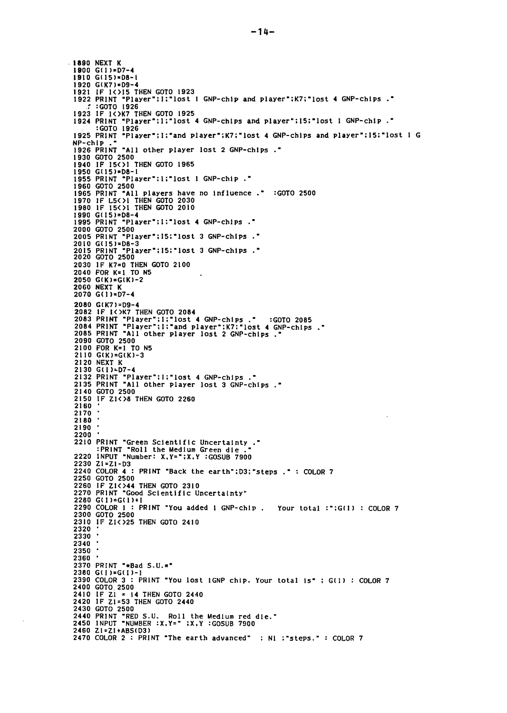$-1890$  NEXT K<br>1900 G(1)=D7-4 1910 G(15)=D8-1 1920 G(K7)=D9-4 1921 IF I<>>> THEN GOTO 1923<br>1921 IF I<>>> THEN GOTO 1923<br>1922 PRINT "Player";I;"lost 1 GNP-chip and player";K7;"lost 4 GNP-chips ." :GOTO 1926 1923 IF IK>K7 THEN GOTO 1925 1924 PRINT "Player":1;"lost 4 GNP-chips and player":15;"lost 1 GNP-chip." 1925 PRINT "Player"; I; "and player": K7; "lost 4 GNP-chips and player": I5: "lost 1 G NP-chip 1926 PRINT "All other player lost 2 GNP-chips." 1930 GOTO 2500 1940 IF 15(>1 THEN GOTO 1965  $1950$   $G(15)=D8-1$ 1955 PRINT "Player";1;"lost 1 GNP-chip." 1999 1990<br>1960 GOTO 2500<br>1965 PRINT "All players have no influence." :GOTO 2500 1970 IF L5<>1 THEN GOTO 2030<br>1980 IF L5<>1 THEN GOTO 2030 1990 G(15)=D8-4<br>1995 PRINT "Player":1:"lost 4 GNP-chips." 2000 GOTO 2500<br>2005 PRINT "Player";15:"lost 3 GNP-chips ." 2010 G(15)=D8-3<br>2015 PRINT "Player";15:"lost 3 GNP-chips ."<br>2020 GOTO 2500 2030 IF K7=0 THEN GOTO 2100<br>2040 FOR K=1 TO N5 2050  $G(K) = G(K) - 2$ **2060 NEXT K** 2070 G(1)=D7-4 2080 G(K7)=D9-4 2080 GIR/J=D9-4<br>2082 IF I<>R7 THEN GOTO 2084<br>2083 PRINT "Player";1;"lost 4 GNP-chips ." :GOTO 2085<br>2084 PRINT "Player";1;"and player";K7:"lost 4 GNP-chips ."<br>2085 PRINT "All other player lost 2 GNP-chips ." 2090 GOTO 2500 2000 GOLD 2000<br>2100 FOR K=1 TO N5<br>2110 G(K)=G(K)-3 2120 NEXT K<br>2130 G(1)=D7-4 2132 PRINT "Player":1:"lost 4 GNP-chips ."<br>2135 PRINT "All other player lost 3 GNP-chips ." 2140 GOTO 2500 2150 IF Z1<>8 THEN GOTO 2260 2160 2170 2180 2190  $2200$ 2210 PRINT "Green Scientific Uncertainty."<br>"PRINT "Roll the Medium Green die."<br>2220 INPUT "Number: X.Y=";X.Y :GOSUB 7900  $2230$  Zi=Z1-D3 2240 COLOR 4 : PRINT "Back the earth":D3:"steps ." : COLOR 7 2250 GOTO 2500 2260 IF ZIK>44 THEN GOTO 2310<br>2270 PRINT "Good Scientific Uncertainty" 2280 G(1)=G(1)+1<br>2280 G(1)=G(1)+1<br>2290 COLOR 1 : PRINT "You added 1 GNP-chip. Your total :";G(1) : COLOR 7 2300 GOTO 2500<br>2310 IF ZIK > 25 THEN GOTO 2410 2320 2330 2340 2350 2360 2370 PRINT "\*Bad S.U.\*" 2380 G(I)=G(I)-1 2390 COLOR 3 : PRINT "You lost IGNP chip. Your total is" ; G(1) : COLOR 7 2400 GOTO 2500 2410 IF Z1 = 14 THEN GOTO 2440<br>2420 IF Z1 = 14 THEN GOTO 2440 2430 GOTO 2500 2440 PRINT "RED S.U. Roll the Medium red die." 2450 INPUT "NUMBER : X, Y=" ; X, Y : GOSUB 7900 2460 Z1=Z1+ABS(D3) 2470 COLOR 2 : PRINT "The earth advanced" : NI :"steps." : COLOR 7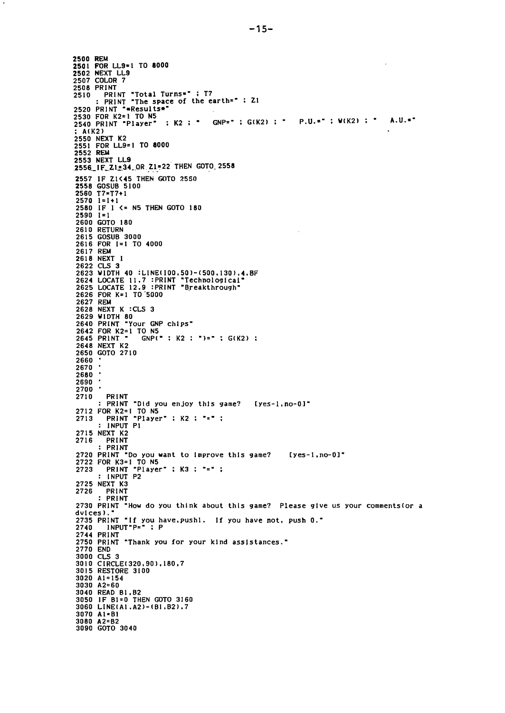$A.U.$ =" ; " P.U.=" ; W(K2) ; [yes-I. no-Ol" . GNP=W ; GlK21 K2 ; <sup>W</sup> rkini<br>PRINT "Did you enjoy this game? [yes-1,no-0]" 2645 PRINT " GNP("; K2 ; ")="; G(K2) K3 PRINT *2712* FOR K2=1 TO N5 *<sup>2713</sup>* PRINT WPlayer <sup>W</sup> ; K2 ; w=w : INPUT PI *2715* NEXT K2 **PRINT** : PRINT 2720 PRINT "Do you want to improve this game? 2722 FOR K3=1 TO N5<br>2723 PRINT "Player" : INPUT P2 2725 NEXT K3<br>2726 PRINT 2726 PRINT : PRINT 2730 PRINT "How do you think about this game? Please give us your comments (or a dvlces). 2735 PRINT "If you have.pushl. If you have not. push 0."<br>2740 INPUT"P="; P 2744 PRINT 2750 PRINT "Thank you for your kind asslstances." 2770 END 3000 CLS 3 3010 CIRCLEI320.901.180.7 3015 RESTORE 3100 3020 AI=154 3030 A2=60 3040 READ BI.B2 3050 IF BI=O THEN GOTO 3160 3060 LINEIAI.A21-IBI,B21.7 3070 Al<mark>\*</mark>BI 3080 A2=B2 3090 GOTO 3040 2500 REM 2501 FOR LL9-1 TO 8000 2502 NEXT LL9 2507 COLOR 7 2508 PRINT<br>2510 PRINT "Total Turns<sub>",</sub> ; T7 : PRINT "The space of the earth=" ; ZI 2520 PRINT "\*Results\*" 2530 FOR K2=1 TO N5<br>2540 PRINT "Player"  $A(K2)$ 2550 NEXT K2 2551 FOR LL9=1 TO 8000 **2552 REM**<br>2553 NEXT LL9 2556 IF Z1=34 OR Z1=22 THEN GOTO 2558 2557 IF Z1<mark><45 T</mark>HEN GOTO 2550 2558 GOSUB 5100 2560 T7=T7+1 2570 1=1+1 2580 IF I <= N5 THEN GOTO 180 2590 1=1 2600 GOTO 180 2610 RETURN 2615 GOSUB 3000 2616 FOR 1=1 TO 4000 2617 REM 2618 NEXT I 2622 CLS 3 2623 WIDTH 40 :LINE(I00,50)-(500.130),4.BF<br>2624 LOCATE 11.7 :PRINT "Technological" 2625 LOCATE 12.9 : PRINT "Breakthrough 2626 FOR K=I TO"5000 2627 REM 2628 NEXT K :CLS 3 2629 WIDTH 80 2640 PRINT "Your GNP chlps" 2642 FOR K2=1 TO N5<br>2645 PRINT " GNP(' 2648 NEXT K2 2650 GOTO 2710 <sup>2660</sup> • <sup>2670</sup> 2680 2690 2700 2710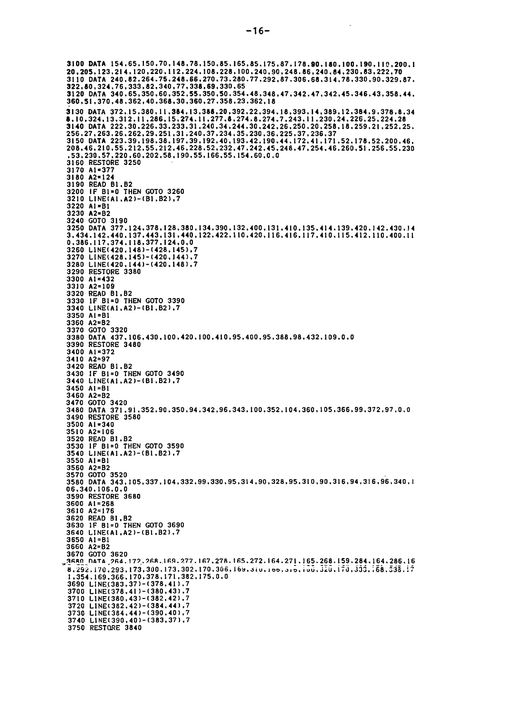DATA 154.65.150.70.148.78.150.85.165.85.175.87.178.90.180.100.190.110.200.1 20.205.123.214.120.220.112.224.108.228.100.240.90.248.86.240.84.230.83.222.70 DATA 240.82.264.75.248.66.270.73.280.77.292.87.306.68.314.78.330.90.329.87. 322.80.324.76.333.82.340.77.338.69.330.65 DATA 340.65.350.60.352.55.350.50.354.48.348.47.342.47.342.45.346.43.358.44. 360.51.370.48.362.40.368.30.360.27.358.23.362.18 DATA 372 •.15.380.11.384.13.388.20.392.22.394.18.393.14.389.12.384.9.378.8.34 8.10.324.13.312.11.286.15.274.11.277.8.274.8.274.7.243.11.230.24.226.25.224.28 DATA 222.30.226.33.233.31.240.34.244.30.242.26.250.20.258.18.259.21.252.25. 256.27.263.26.262.29.251.31.240.37.234.35.230.36.225.37.236.37 DATA 223.39.198.38.197.39.192.40.193.42.190.44.172.41.171.52.178.52.200.46. 208.46.210.55.212.55.212.46.228.52.232.47.242.45.248.47.254.46.260.51.256.55.230 .53.230.57.220.60.202.58.190.55.166.55.154.60.0.0 RESTORE 3250 3170 Al<mark>=377</mark> A2=124 READ Bl.B2 IF BI=O THEN GOTO 3260 LINEIAI.A21-IB1.B21.7 A<sub>1</sub>=B<sub>1</sub> A2=B2 GOTO 3190 DATA 377.124.378.128.380.134.390.132.400.131.410.135.414.139.420.142.430.14 3.434.142.440.137.443.131.440.122.422.110.420.116.416.117.410.115.412.110.400.11 0.386.117.374.118.377.124.0.0 LINEI420.1481-1428.1451.7 LINEI428.1451-1420.1441.7 3280 LINE(420, 144) - (420, 148), 7 RESTORE 3380 Al=432 A2=109 READ Bl.B2 IF BI=O THEN GOTO 3390 LINEIAl.A21-IBl.B21.7 AI=Bl A2=B2 GOTO 3320 DATA 437.106.430.100.420.100.410.95.400.95.388.98.432.109.0.0 RESTORE 3480 AI=372 A2=97 READ BI.B2 IF Bl=O THEN GOTO 3490 3440 LINE(A1, A2)-(B1.B2),7 AI=Bl A2=B2 GOTO 3420 3480 DATA 371.91.352.90.350.94.342.96.343.100.352.104.360.105.366.99.372.97.0.0 RESTORE 3580 AI=340 A2=106 READ BI. B2 IF BI=O THEN GOTO 3590 LINEIAI.A21-IBI.B21.7 Al=BI A2=B2 GOTO 3520 DATA 343.105.337.104.332.99.330.95.314.90.328.95.310.90.316.94.316.96.340.1 06.340.106.0.0 RESTORE 3680 AI=268 A2=176 READ BI.B2 IF BI=O THEN GOTO 3690 3640 LINE(A1, A2)-(B1, B2), 7 Al=BI A2=B2 3670 GOTO 3620<br>3680 DATA 264.172.268.169.277.167.278.165.272.164.271.165.268.159.284.164.286.  $\overline{8,292,170,293,173,300,173,302,170,306,169,310,100,310,100}$ ,  $\overline{100,320,170,335,168,538,17}$ 1.354.169.366.170.378.171.382.175.0.0<br>3690 LINE(383.37)-(378.41).7 3700 LINE(378.41)-(380.43).7 LINEI380.431-1382.421.7 LINE(382.421-1384.441.7 LINEI384.441-1390.401.7 LINE(390.401-1383.371.7 RESTORE 3840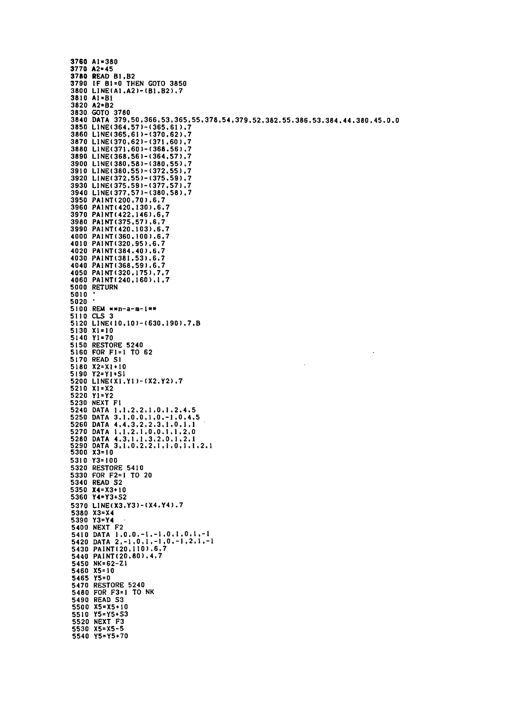```
3760 A1=380
3770 A2=45
3780 READ B1, B2
3790 IF B1=0 THEN GOTO 3850
3800 LINE(A1, A2)-(B1, B2), 7
3810 AI=BI
3820 A2=B2
3820 R2-B2<br>3830 GOTO 3780<br>3840 DATA 379,50,366,53,365,55,378,54,379,52,382,55,386,53,384,44,380,45,0,0<br>3850 LINE(364,57)-(365,61),7
3860 LINE(365,61)-(370,62),7
3870 LINE(370,62)-(371,60),7
3880 LINE(371,60)-(368,56),7
3890 LINE(368,56)-(364,57),7
3900 LINE(380,58)-(380,55),7
3910 LINE(380,55)-(372,55).7
3920 LINE(372,55)-(375,59).7<br>3930 LINE(375,59)-(377,57).7<br>3940 LINE(377,57)-(380,58).7
3950 PAINT(200,70),6,7
3960 PAINT(420,130),6,7
3900 PAINT(422,146).6,7<br>3980 PAINT(375,57).6,7<br>3990 PAINT(420,103).6,7<br>4000 PAINT(380,100).6,7
4010 PAINT(320.95).6.7
4020 PAINT(384,40),6,7
4030 PAINT(381,53),6,7
4040 PAINT(368,59),6,7
4050 PAINT (320, 175), 7.7
4060 PAINT(240,160),1,7
5000 RETURN
5010
5020
5100 REM **n-a-m-1**
5110 CLS 3
5120 LINE(10,10)-(630,190),7,B
5130 X1 = 10<br>5140 Y1 = 705150 RESTORE 5240
5160 FOR F1=1 TO 62
5170 READ SI
5180 X2=X1+105190 Y2=Y1+S1
5200 LINE(X1, Y1)-(X2, Y2), 7
5210 X1=X2
5220 Y1=Y2<br>5230 NEXT F1
5240 DATA 1,1,2,2,1,0,1,2,4,5<br>5250 DATA 3,1,0,0,1,0,-1,0,4,5<br>5260 DATA 4,4,3,2,2,3,1,0,1,1<br>5270 DATA 1,1,2,1,0,0,1,1,2,0
5280 DATA 4.3, 1.1, 3.2, 0, 1, 2, 1<br>5290 DATA 3, 1, 0, 2, 2, 1, 1, 0, 1, 1, 2, 1
5300 X3=105310 Y3=100
5320 RESTORE 5410
5330 FOR F2=1 TO 20
5340 READ 52
5350 X4=X3+10
5360 Y4=Y3+S2
5370 LINE(X3, Y3)-(X4, Y4).7
5380 X3=X4
5390 Y3=Y4
5400 NEXT F2
5410 DATA 1.0.0.-1.-1.0.1.0.1.-1<br>5420 DATA 2,-1.0.1.-1.0.-1.2.1.-1
5430 PAINT(20,110),6,7
5440 PAINT(20,80),4,7
5450 NK=62-Z1
5460 X5=10
5465 Y5=0
5470 RESTORE 5240
 5480 FOR F3=1 TO NK
 5490 READ 53
 5500 X5 = X5 + 105510 Y5=Y5+53<br>5520 NEXT F3
5530 X5=X5-5<br>5540 Y5=Y5+70
```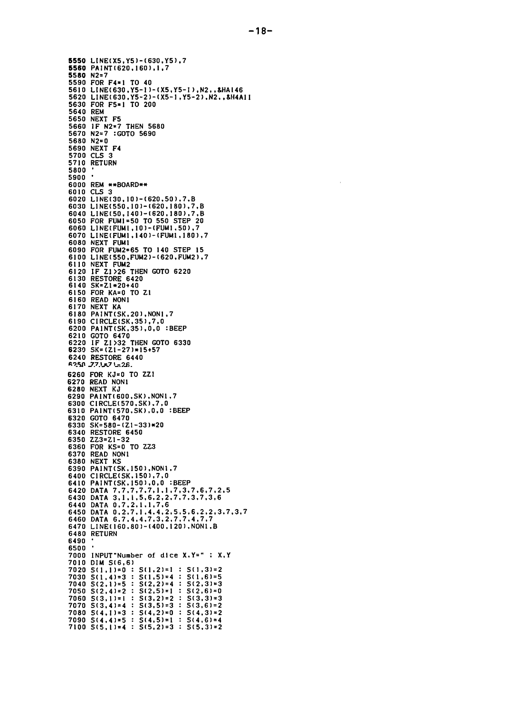5550 LINE(X5, Y5)-(630, Y5), 7 5560 PAINT(620,160),1,7 5580 N2=7 5590 FOR F4\*1 TO 40 5610 LINE(630, Y5-1)-(X5, Y5-1), N2, , &HA146<br>5620 LINE(630, Y5-2)-(X5-1, Y5-2). N2., &H4A11 5630 FOR F5=1 TO 200 5640 REM 5650 NEXT F5 5660 IF N2=7 THEN 5680<br>5670 N2=7 :GOTO 5690<br>5680 N2=0 5690 NEXT F4<br>5700 CLS 3 5710 RETURN 5800 5900 6000 REM \*\*BOARD\*\* 6010 CLS 3 6020 LINE(30, 10) - (620, 50), 7, B 6030 LINE(550,10)-(620,180),7,B 6040 LINE(50, 140)-(620, 180), 7, B 6050 FOR FUMI=50 TO 550 STEP 20<br>6060 LINE(FUMI,10)-(FUMI,50),7 6070 LINE(FUM1,140)-(FUM1,180),7 6080 NEXT FUM1 6090 FOR FUM2=65 TO 140 STEP 15 6100 LINE(550, FUM2)-(620, FUM2), 7 6110 NEXT FUM2 6120 IF Z1>26 THEN GOTO 6220<br>6130 RESTORE 6420 6140 SK=Z1\*20+40 6150 FOR KA=0 TO Z1 6160 READ NON1<br>6170 NEXT KA 6180 PAINT(SK, 20), NON1, 7 6190 CIRCLE(SK, 35), 7, 0 6200 PAINT(SK, 35), 0,0 :BEEP 6210 GOTO 6470<br>6220 IF ZI>32 THEN GOTO 6330<br>6230 SK=(ZI-27)\*15+57 6240 RESTORE 6440 6260 FOR KJ=0 TO ZZ1 6270 READ NON1<br>6280 NEXT KJ 6290 PAINT(600, SK), NON1, 7 6300 CIRCLE(570, SK), 7, 0 6310 PAINT(570, SK), 0,0 :BEEP 6320 GOTO 6470<br>6330 SK=580-(21-33)\*20 6340 RESTORE 6450 6350 ZZ3=Z1-32 6360 FOR KS=0 TO ZZ3 6370 READ NON1 6380 NEXT KS 6390 PAINT(SK, 150), NON1, 7 6400 CIRCLE(SK.150).7.0<br>6410 PAINT(SK.150).0.0 :BEEP 6420 DATA 7.7.7.7.7.1.1.7.3.7.6.7.2.5<br>6430 DATA 3.1.1.5.6.2.2.7.7.3.7.3.6 6440 DATA 0,7,2,1,1,7,6<br>6450 DATA 0,2,7,1,4,4,2,5,5,6,2,2,3,7,3,7<br>6460 DATA 6,7,4,4,7,3,2,7,7,4,7,7<br>6470 LINE(160,80)-(400,120),NON1,B 6480 RETURN 6490 6500 7000 INPUT"Number of dice X.Y=" : X.Y<br>7010 DIM S(6,6) 7020  $S(1,1)=0$  :  $S(1,2)=1$  :  $S(1,3)=2$ 7030 S(1,4)=3 : S(1,5)=4 : S(1,6)=5<br>7040 S(2,1)=5 : S(2,2)=4 : S(2,3)=3 7050  $S(2,4)=2$  :  $S(2,5)=1$  :  $S(2,6)=0$  $7060 S(3,1)=1$ :  $S(3,2)=2$  :  $S(3,3)=3$ 7070  $S(3,4)=4$  :  $S(3,5)=3$  :  $S(3,6)=2$ 7080  $S(4,1)=3$  :  $S(4,2)=0$  :  $S(4,3)=2$ 7090 S(4,4)=5 : S(4,5)=1 : S(4,6)=4<br>7100 S(5,1)=4 : S(5,2)=3 : S(5,3)=2